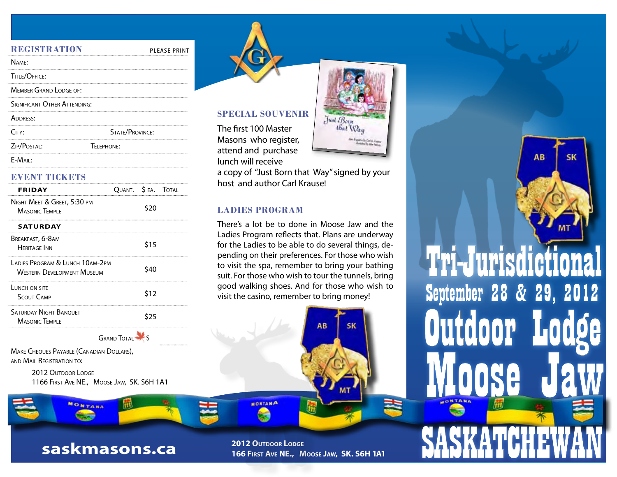| <b>PLEASE PRINT</b>          |
|------------------------------|
|                              |
|                              |
|                              |
| SIGNIFICANT OTHER ATTENDING: |
|                              |
| <b>STATE/PROVINCE:</b>       |
| <b>TFI FPHONE:</b>           |
|                              |

#### E-Mail:

#### **Event Tickets**

| <b>FRIDAY</b>                                                        | OUANT. S EA. TOTAL |      |  |
|----------------------------------------------------------------------|--------------------|------|--|
| NIGHT MEET & GREET, 5:30 PM<br><b>MASONIC TEMPLE</b>                 |                    | \$20 |  |
| <b>SATURDAY</b>                                                      |                    |      |  |
| BREAKFAST, 6-8AM<br><b>HERITAGE INN</b>                              |                    | \$15 |  |
| LADIES PROGRAM & LUNCH 10AM-2PM<br><b>WESTERN DEVELOPMENT MUSEUM</b> |                    | S40  |  |
| LUNCH ON SITE<br><b>SCOUT CAMP</b>                                   |                    | \$12 |  |
| <b>SATURDAY NIGHT BANOUET</b><br><b>MASONIC TEMPLE</b>               |                    | S25  |  |
| <b>GRAND TOTAL</b>                                                   |                    |      |  |

MAKE CHEQUES PAYABLE (CANADIAN DOLLARS), and Mail Registration to:

> 2012 Outdoor Lodge 1166 First Ave NE., Moose Jaw, SK. S6H 1A1



### **Special Souvenir**

The first 100 Master Masons who register, attend and purchase lunch will receive

a copy of "Just Born that Way" signed by your host and author Carl Krause!

Just Born<br>that Way

## **LADIES PROGRAM**

**MONTANA** 

There's a lot be to done in Moose Jaw and the Ladies Program reflects that. Plans are underway for the Ladies to be able to do several things, depending on their preferences. For those who wish to visit the spa, remember to bring your bathing suit. For those who wish to tour the tunnels, bring good walking shoes. And for those who wish to visit the casino, remember to bring money!

AB

SΚ



Moose Jaw **SASKATCHEWAN** Tri-Jurisdictio Outdoor Lo September 28 & 29, 2012

**AB** 

**SK** 

**2012 OUTDOOR LODGE 166 First Ave NE., Moose Jaw, SK. S6H 1A1**